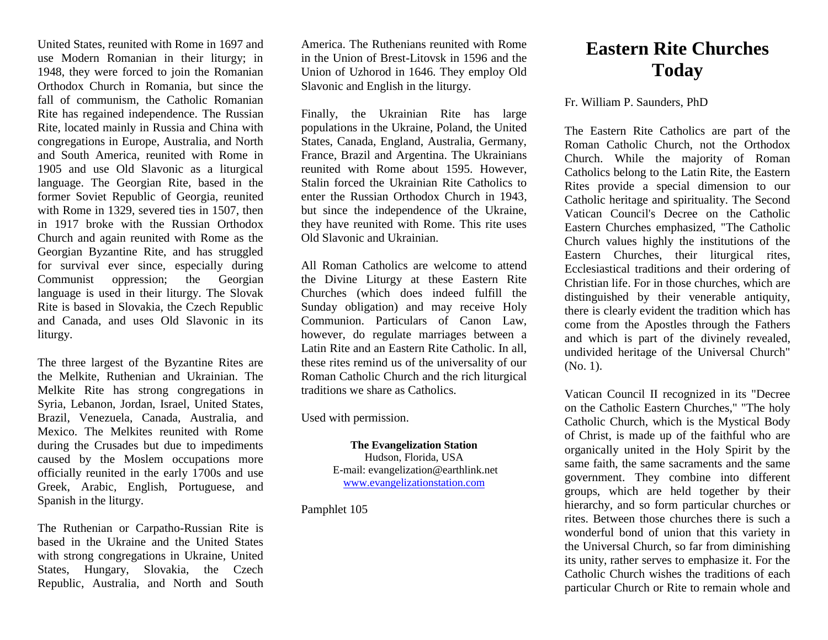United States, reunited with Rome in 1697 and use Modern Romanian in their liturgy; in 1948, they were forced to join the Romanian Orthodox Church in Romania, but since the fall of communism, the Catholic Romanian Rite has regained independence. The Russian Rite, located mainly in Russia and China with congregations in Europe, Australia, and North and South America, reunited with Rome in 1905 and use Old Slavonic as a liturgical language. The Georgian Rite, based in the former Soviet Republic of Georgia, reunited with Rome in 1329, severed ties in 1507, then in 1917 broke with the Russian Orthodox Church and again reunited with Rome as the Georgian Byzantine Rite, and has struggled for survival ever since, especially during Communist oppression; the Georgian language is used in their liturgy. The Slovak Rite is based in Slovakia, the Czech Republic and Canada, and uses Old Slavonic in its liturgy.

The three largest of the Byzantine Rites are the Melkite, Ruthenian and Ukrainian. The Melkite Rite has strong congregations in Syria, Lebanon, Jordan, Israel, United States, Brazil, Venezuela, Canada, Australia, and Mexico. The Melkites reunited with Rome during the Crusades but due to impediments caused by the Moslem occupations more officially reunited in the early 1700s and use Greek, Arabic, English, Portuguese, and Spanish in the liturgy.

The Ruthenian or Carpatho-Russian Rite is based in the Ukraine and the United States with strong congregations in Ukraine, United States, Hungary, Slovakia, the Czech Republic, Australia, and North and South

America. The Ruthenians reunited with Rome in the Union of Brest-Litovsk in 1596 and the Union of Uzhorod in 1646. They employ Old Slavonic and English in the liturgy.

Finally, the Ukrainian Rite has large populations in the Ukraine, Poland, the United States, Canada, England, Australia, Germany, France, Brazil and Argentina. The Ukrainians reunited with Rome about 1595. However, Stalin forced the Ukrainian Rite Catholics to enter the Russian Orthodox Church in 1943, but since the independence of the Ukraine, they have reunited with Rome. This rite uses Old Slavonic and Ukrainian.

All Roman Catholics are welcome to attend the Divine Liturgy at these Eastern Rite Churches (which does indeed fulfill the Sunday obligation) and may receive Holy Communion. Particulars of Canon Law, however, do regulate marriages between a Latin Rite and an Eastern Rite Catholic. In all, these rites remind us of the universality of our Roman Catholic Church and the rich liturgical traditions we share as Catholics.

Used with permission.

**The Evangelization Station** Hudson, Florida, USA E-mail: evangelization@earthlink.net [www.evangelizationstation.com](http://www.pjpiisoe.org/)

Pamphlet 105

## **Eastern Rite Churches Today**

## Fr. William P. Saunders, PhD

The Eastern Rite Catholics are part of the Roman Catholic Church, not the Orthodox Church. While the majority of Roman Catholics belong to the Latin Rite, the Eastern Rites provide a special dimension to our Catholic heritage and spirituality. The Second Vatican Council's Decree on the Catholic Eastern Churches emphasized, "The Catholic Church values highly the institutions of the Eastern Churches, their liturgical rites, Ecclesiastical traditions and their ordering of Christian life. For in those churches, which are distinguished by their venerable antiquity, there is clearly evident the tradition which has come from the Apostles through the Fathers and which is part of the divinely revealed, undivided heritage of the Universal Church" (No. 1).

Vatican Council II recognized in its "Decree on the Catholic Eastern Churches," "The holy Catholic Church, which is the Mystical Body of Christ, is made up of the faithful who are organically united in the Holy Spirit by the same faith, the same sacraments and the same government. They combine into different groups, which are held together by their hierarchy, and so form particular churches or rites. Between those churches there is such a wonderful bond of union that this variety in the Universal Church, so far from diminishing its unity, rather serves to emphasize it. For the Catholic Church wishes the traditions of each particular Church or Rite to remain whole and